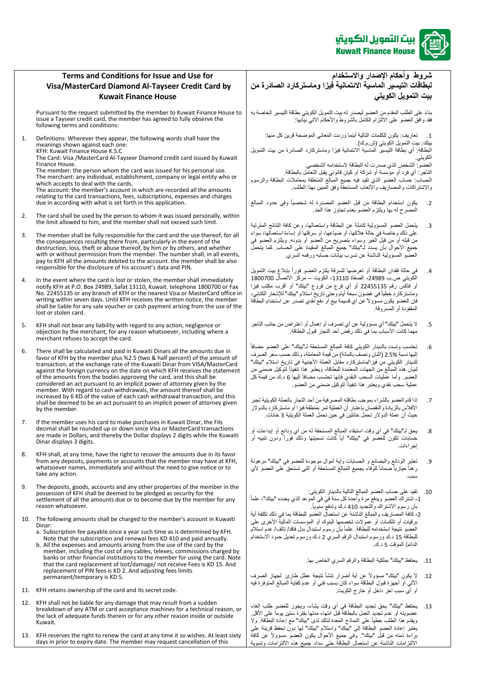

## **Terms and Conditions for Issue and Use for Visa/MasterCard Diamond Al-Tayseer Credit Card by Kuwait Finance House**

Pursuant to the request submitted by the member to Kuwait Finance House to issue a Tayseer credit card, the member has agreed to fully observe the following terms and conditions:

1. Definitions: Wherever they appear, the following words shall have the meanings shown against each one:

KFH: Kuwait Finance House K.S.C The Card: Visa /MasterCard Al-Tayseer Diamond credit card issued by Kuwait Finance House.

The member: the person whom the card was issued for his personal use. The merchant: any individual, establishment, company or legal entity who or which accepts to deal with the cards. The account: the member's account in which are recorded all the amounts relating to the card transactions, fees, subscriptions, expenses and charges due in according with what is set forth in this application.

- 2. The card shall be used by the person to whom it was issued personally, within the limit allowed to him, and the member shall not exceed such limit.
- 3. The member shall be fully responsible for the card and the use thereof, for all the consequences resulting there from, particularly in the event of the destruction, loss, theft or abuse thereof, by him or by others, and whether with or without permission from the member. The number shall, in all events, pay to KFH all the amounts debited to the account. the member shall be also responsible for the disclosure of his account's data and PIN.
- 4. In the event where the card is lost or stolen, the member shall immediately notify KFH at P.O. Box 24989, Safat 13110, Kuwait. telephone 1800700 or Fax No. 22455135 or any branch of KFH or the nearest Visa or MasterCard office in writing within seven days. Until KFH receives the written notice, the member shall be liable for any sale voucher or cash payment arising from the use of the lost or stolen card.
- 5. KFH shall not bear any liability with regard to any action, negligence or objection by the merchant, for any reason whatsoever, including where a merchant refuses to accept the card.
- 6. There shall be calculated and paid in Kuwaiti Dinars all the amounts due in favor of KFH by the member plus %2.5 (two & half percent) of the amount of transaction, at the exchange rate of the Kuwaiti Dinar from VISA/MasterCard against the foreign currency on the date on which KFH receives the statement of the amounts from the bodies approving the card, and this shall be considered an act pursuant to an implicit power of attorney given by the member. With regard to cash withdrawals, the amount thereof shall be increased by 6 KD of the value of each cash withdrawal transaction, and this shall be deemed to be an act pursuant to an implicit power of attorney given by the member.
- 7. If the member uses his card to make purchases in Kuwait Dinar, the Fils decimal shall be rounded up or down since Visa or MasterCard transactions are made in Dollars, and thereby the Dollar displays 2 digits while the Kuwaiti Dinar displays 3 digits.
- 8. KFH shall, at any time, have the right to recover the amounts due in its favor from any deposits, payments or accounts that the member may have at KFH, whatsoever names, immediately and without the need to give notice or to take any action.
- 9. The deposits, goods, accounts and any other properties of the member in the possession of KFH shall be deemed to be pledged as security for the settlement of all the amounts due or to become due by the member for any reason whatsoever.
- 10. The following amounts shall be charged to the member's account in Kuwaiti Dinar:
	- a. Subscription fee payable once a year such time as is determined by KFH. Note that the subscription and renewal fees KD 410 and paid annually.
	- b. All the expenses and amounts arising from the use of the card by the member, including the cost of any cables, telexes, commissions charged by banks or other financial institutions to the member for using the card. Note that the card replacement of lost/damage/ not receive Fees is KD 15. And replacement of PIN fees is KD 2. And adjusting fees limits permanent/temporary is KD 5.
- 11. KFH retains ownership of the card and its secret code.
- 12. KFH shall not be liable for any damage that may result from a sudden breakdown of any ATM or card acceptance machines for a technical reason, or the lack of adequate funds therein or for any other reason inside or outside Kuwait.
- 13. KFH reserves the right to renew the card at any time it so wishes. At least sixty days in prior to expiry date. The member may request cancellation of this

## **شروط وأحكام اإلصدار واالستخدام لبطاق ات التيسير الماسية االئتمانية فيزا وماستركارد الصادرة من بيت التمويل الكويتي**

بناءً على الطلب المقدم من العضو ليصدر له بيت التمويل الكويتي بطاقة التيسير الخاصةً به .<br>فقد وافق العضو على الالتزام الكامل بالشّروط والأحكام الآتيّ بيانها:

1. تعاريف: يكون للكلمات التالية أينما وردت المعاني الموضحة قرين كل منها: بيتك: بيت التمويل الكويتي (ش م.ك). البطاقةً: أي بطاقةً التيسير الماسية الانتمانيةً فيزاً وماستركارد الصادرةً من بيت التمويل الكويتي. العضو : الشخص الذي صدرت له البطاقة لاستخدامه الشخصي.

التاجر<sup>ً</sup>: أي فرد أو مؤسسةً أو شركةً أو كيان قانوني يقبل التعامل بالبطاقة. الحساب كساب العضو الذي تقيد فيه جميع المبالغ المتعلقة بمعاملات البطاقة والرسوم والاشتراكات والمصاريف والأتعاب المستحقةً وفق المبين بهذا الطلب

- .2 يكون استخدام البطاقة من قبل العضو المصدرة له شخصيا وفي حدود المبالغ المصرح له بها ويلتزم العضو بعدم تجاوز هذا الحد.
- 3. يتحمل العضو المسؤولية كاملةً عن البطاقةً واستعمالها، وعن كافة النتائج المترتبة على ذلك وخاصةً في حالةً هلاكها، أو ضياعهاً، أو سرقتها أو إساءة استعمالها، سواءً من قبله أو من قبل الغير وسواءً بتصريحٍ من العضو أو بدونه. ويلتزم العضو في جميع الأحوال بأن يسدد لـ"بيتك" جميع المبالغ المقيدة على الحساب. كما يتحمل العضو المسؤولية الناشئةً عن تسرب بيانات حسابه ورقمه السري
- 4. في حالة فقدان البطاقة أو تعرضها للسرقة يلتزم العضو فوراً بإبلاغ بيت التمويل الكويتي ص.ب 24989، الصفاة 13110، الكويت – مركزً الاتصال 1800700 أوً فاكسًرقمًً22455135ًًأوًًأيً فرعً منً فروعًً"بيتك"ًًأوً أقربً مكتبً فيزاًً وماستركارد خطياً في غضون سبعة أيام وحتى تاريخ استلام "بيتك" للإشعار الكتابي، فإن العضو يكون مسؤوال عن أي قسيمة بيع أو دفع نقدي تصدر عن استخدام البطاقة المفقودة أو المسروقة.
- 5. الله يتحمل "بيتك" أي مسؤوليةً عن أي تصرف أو إهمال أو اعتراضٍ من جانب التاجر مهماًكانتًاألسبابًبماًفيًذلكًرفضًأحدًالتجارًقبولًالبطاقةً.
- 6. تحتسب وتسدد بالدينار الكويتي كافة المبالغ المستحقة لـ"بيتك" على العضو مضافاً إليها نسبةً 2.5% (اثنانٍ ونصفٌ بالمائة) من قيمة المعاملة، وذلك حسب سعر الصرف للدينار الكويتي من فيزا/ماستركارد مقابل العملة الأجنبية في تاريخ استلام "بيتك" لبيان هذه المبالغ من الجهات المعتمدة للبطاقة، ويعتبر هذا تنفيذاً لتوكيل ضمني من سُمَعتُ وأماً عمليات السّحب النقدي فإنها تحتسبٌ مُضَّافاً إليهاً 6 دُّكَّ من قيمةً كلّ عملية سحب نقدي ويعتبر هذا تنفيذاً لتوكيل ضمني من العضو
- 7 ٪ إذا قام العضو بالشراء بموجب بطاقته المصرفيةً من أحد التجار بالعملة الكويتية تجبرً الأفلاس بالزيادة والنقصان بإعتبار أن العملية تمر بمنطقةً فيزاً أو ماستركارد بالدولار حيث أن عملةً الدولار. تحملً خانتين في حين تحمل العملةً الكويتية 3 خانات.
- 8 . يحقً لــ"بيتك" في أي وقت استيقاء المبالغ المستحقةً له من أي ودائعٍ أو إيداعات أو حساباتً تكونً للعضوً فيًً"بيتك"ًًأيا كانت تسميتها وذلك فورا ودون تنبيه أو إجراءاتً.
- 9 تعتبر الودائع والبضائع و الحسابات وأية أموال موجودة للعضو في "بيتك" مرهونةً ر هنأ حيازياً ضماناً للوفاء بجميع المبالغ المستحقة أو التي تستحق على العضو لأي سببً.
- 10. تقيدً على حساب العضو المبالغ التالية بالدينار الكويتي: 1- اشتراك العضو ويدفع مرة واحدة كل سنة في في الموعد الذي يحدده "بيتك"، علماً بأن رسوم الاشتراك والتجديد 410 د.ك وتدفعٌ سنّوياً.

2- كافة المصاريف والمبالغ الناشئة عن استعمال العضو للبطاقة بما في ذلك تكلفة أية برقيات أو تلكسات أو عمولات تخصمها البنوك أو المؤسسات المالية الأخرى علىً العضو نتيجة استخدامه للبطاقة. علماً بأن رسوم استبدال بدل فاقد/ تالف/ عدم استلام للبطاقة 15 د.ك ورسوم استبدال الرقم السري 2 د.ك ورسوم تعديلً حدود الاستخدام الدائم/ المؤقت 5 د.ك.

- 11. يحتفظ "بيتك" بملكية البطاقة والرقم السري الخاص بها.
- 12. لا يكون "بيتك" مسؤولاً عن أية أضرار تنشأ نتيجةً عطل طارئ لجهاز الصرف الآلي أو أجهزةً قبول البطاقة سواءً كان بسبب فني أو عدم كفاية المبالغ المتوفرة فيه أو أي سبب آخر داخل أو خارج الكويت.
- 13. يحتفظ "بيتك" بحق تجديد البطاقة في أي وقت يشاء، ويجوز للعضو طلب إلغاء عضويته أو عدم تجديد العمل بالبطاقةً قبلً انتهاء مدتها بفترة ستين يوماً على الأقل. ويقدم هذا الطلب خطيًّا على النماذج المعدة لذلك لدى "بيتك" مع إعادة البطاقة. ولا بعتبر إعادةً العضو البطاقة إلى "بيتك" واستلام "بيتك" لمها دون تحفظ قرينةً علىً براءةً ذمته من قبل "بيتك". وفي جميع الأحوال يكون العضو مسؤولاً عن كافة .<br>الالتزامات الناشئةً عن استعمال البطاقة حتى سدادً جميع هذه الالتزامات وتسويةً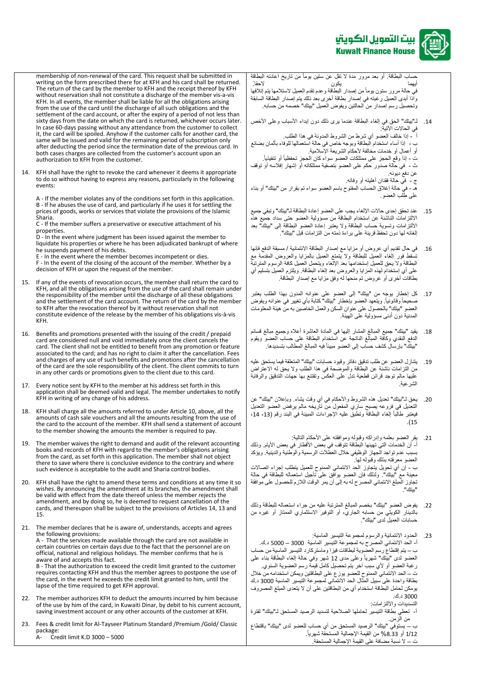

membership of non-renewal of the card. This request shall be submitted in writing on the form prescribed there for at KFH and his card shall be returned. The return of the card by the member to KFH and the receipt thereof by KFH without reservation shall not constitute a discharge of the member vis-a-vis KFH. In all events, the member shall be liable for all the obligations arising from the use of the card until the discharge of all such obligations and the settlement of the card account, or after the expiry of a period of not less than sixty days from the date on which the card is returned, whichever occurs later. In case 60-days passing without any attendance from the customer to collect it, the card will be spoiled. Anyhow if the customer calls for another card, the same will be issued and valid for the remaining period of subscription only after deducting the period since the termination date of the previous card. In both cases charges are collected from the customer's account upon an authorization to KFH from the customer.

14. KFH shall have the right to revoke the card whenever it deems it appropriate to do so without having to express any reasons, particularly in the following events:

A - If the member violates any of the conditions set forth in this application. B - If he abuses the use of card, and particularly if he uses it for settling the prices of goods, works or services that violate the provisions of the Islamic Sharia.

C - If the member suffers a preservative or executive attachment of his properties.

D - In the event where judgment has been issued against the member to liquidate his properties or where he has been adjudicated bankrupt of where he suspends payment of his debts.

E - In the event where the member becomes incompetent or dies. F - In the event of the closing of the account of the member. Whether by a decision of KFH or upon the request of the member.

- 15. If any of the events of revocation occurs, the member shall return the card to KFH, and all the obligations arising from the use of the card shall remain under the responsibility of the member until the discharge of all these obligations and the settlement of the card account. The return of the card by the member to KFH after the revocation thereof by it without reservation shall not constitute evidence of the release by the member of his obligations vis-à-vis KFH.
- 16. Benefits and promotions presented with the issuing of the credit / prepaid card are considered null and void immediately once the client cancels the card. The client shall not be entitled to benefit from any promotion or feature associated to the card; and has no right to claim it after the cancellation. Fees and charges of any use of such benefits and promotions after the cancellation of the card are the sole responsibility of the client. The client commits to turn in any other cards or promotions given to the client due to this card.
- 17. Every notice sent by KFH to the member at his address set forth in this application shall be deemed valid and legal. The member undertakes to notify KFH in writing of any change of his address.
- 18. KFH shall charge all the amounts referred to under Article 10, above, all the amounts of cash sale vouchers and all the amounts resulting from the use of the card to the account of the member. KFH shall send a statement of account to the member showing the amounts the member is required to pay.
- 19. The member waives the right to demand and audit of the relevant accounting books and records of KFH with regard to the member's obligations arising from the card, as set forth in this application. The member shall not object there to save where there is conclusive evidence to the contrary and where such evidence is acceptable to the audit and Sharia control bodies.
- 20. KFH shall have the right to amend these terms and conditions at any time it so wishes. By announcing the amendment at its branches, the amendment shall be valid with effect from the date thereof unless the member rejects the amendment, and by doing so, he is deemed to request cancellation of the cards, and thereupon shall be subject to the provisions of Articles 14, 13 and 15.
- 21. The member declares that he is aware of, understands, accepts and agrees the following provisions: A - That the services made available through the card are not available in certain countries on certain days due to the fact that the personnel are on official, national and religious holidays. The member confirms that he is aware of and accepts this fact. B - That the authorization to exceed the credit limit granted to the customer requires contacting KFH and thus the member agrees to postpone the use of the card, in the event he exceeds the credit limit granted to him, until the lapse of the time required to get KFH approval.
- 22. The member authorizes KFH to deduct the amounts incurred by him because of the use by him of the card, in Kuwaiti Dinar, by debit to his current account, saving investment account or any other accounts of the customer at KFH.
- 23. Fees & credit limit for Al-Tayseer Platinum Standard /Premium /Gold/ Classic package:<br>A- Cre  $\overline{\text{C}}$  Credit limit K.D 3000 – 5000

حساب البطاقةً. أو بعد مرور مدة لا تقل عن ستين يوماً من تاريخ اعادته البطاقةً<br>أبهما أيهماً يكونً الحقا. ً في حالة مرور ستون يوماً من إصدار البطاقة وعدم تقدم العميل لاستلامها يتم إتلافها واذاً أبدى العميل رغبته في إصدار بطاقةً أخرى بعد ذلك يتم إصدار البطاقة السابقة وتحصيلً رسم إصدار من الحالتين ويفوض العميل "بيتك" خصمه من حسابه.

14. لـ"بيتك" الحقّ في إلغاء البطاقة عندماً يرى ذلك دون إبداء الأسباب وعلى الأخص في الحالات الآتية: أ

أ - إذا خالف العضو أي شرط من الشروط المدونة في هذا الطلب

- ب-ً إذا أساء استخدام البطاقةً وبوجه خاصً في حالةً استعمالها للوفاء بأثمانٍ بضائعٍ
	- أو أعمال أو خدمات مخالفةً لأحكام الشريعة الإسلامية.
- ت إذا وقع الحجز على ممتلكات العضو سواء كان الحجز تحفظياً أو تنفيذياً. ث - ً في حالةً صدور حكم على العضو بتصفيةً ممتلكاته أو إشهار إفلاسه أو توقف
	- عن دفع ديونه.
	- ح<br>ج في حالةً فقدان أهليته أو وفاته.

هـ - في حالةً إغلاق الحساب المفتوح باسم العضو سواء تم بقرار من "بيتك" أو بناء على طُلب العضو

- 15. عند تحقق إحدى حالات الإلغاء يجب على العضو إعادة البطاقةً لـ"بيتك" وتبقي جميع الالتزامات الناشئةً عن استخدام البطاقةً من مسؤولية العضو حتى سداد جميع هذه .<br>الالتزامات وتسويةً حساب البطاقةً ولا يعتبر إعادةً العضو البطاقةً إلى "بيتك" بعدً إلغائهً لها دون تحفظ قرينةً على براءةً ذمته من التزامات قبل "بيتك".
- 16. في حال تقديم أي عروض أو مزاياً مع إصدار البطاقة الائتمانية / مسبقة الدفع فإنها تسقطً فور إلغاء العميل للبطاقةً ولا يتمتع العميل بالمزايا والعروض المقدمةً مع البطاقةً ولا يحق للعميل إستخدامها بعد الإلغاء ويتحمل العميل كافة الرسوم المترتبة على أي إستخدام لهذه المزايا والعروض بعد الغاء البطاقة. ويلتزم العميل بتسليمً أي بطاقات أخرىً أو عروضٌ تم منحها له وفقٍ مزاياً مع إصدار البطاقة.
- 17. كل إخطار يوجهً من "بيتك" إلى العضو على عنوانه المدون بهذا الطلب يعتبرً صحيحاً وقانونياً. ويتعهد العضو بإخطار "بيتك" كتابةً بأي تغيير في عنوانه ويفوض العضوً "بيتك" بالحصولًا على عنوان السكن والعمل الخاصين به من هيئةً المعلومات المدنية دون أدنى مسؤولية على الهيئة
- 18. يقيد "بيتك" جميع المبالغ المشار إليها في المادة العاشرة أعلاه وجميع مبالغ قسائم الدفع النقدي وكافةً المبالغ الناتجةً عن استخدام البطاقةً على حساب العضو ويقوم "بيتك" بإرسال كشف حساب إلى العضو مبيناً فيه المبالغ المطالب بتسديدها.
- 19. يتنازل العضو عن طلب تدقيق دفاتر وقيود حسابات "بيتك" المتعلقة فيما يستحق عليه من التزامات ناشئةً عن البطاقةً والموضحةً في هذا الطلب ولا يحق له الاعتراض عليها مالم توجد قرائن قطعيةً تدلّ على العكس وتقتنع بها جهات التدقيق والرقابةً الشرعية.
- 20 . يحق لـ"بيتك" تعديلً هذه الشروط والأحكام في أي وقت يشاءً. وبإعلان "بيتك" عن التعديل في فروعه يصبح ساري المفعول من تاريخه مالم يرفض العضو التعديل نيعتبر طالّباً إلغاء البطاقةً وتطبقً عليه الإجراءات المبينةً في البند رقم (13، 14، ً.)15
- 21. يقرِّ العضو بعلمه وإدراكه وقبوله وموافقته على الأحكام التالية: أ- أن الخدمات التي تهيئها البطاقة تتوقف في بعض الأقطار في بعض الأيام. وذلك بسبب عدم تواجد الجهاز الوظيفي خلال العطلات الرسميةً والوطنية والدينيةً. ويؤكد العضو معرفته بذلك وقبوله لها. " ب - إن أي تحويل يتجاوز الحد الائتماني الممنوح للعميل يتطلب إجراء اتصالات معينةً مع "بيتك". ولذلك فإن العضو بوافقٍ على تأجيل استعماله للبطاقة في حالةً نجاوز المبلغ الائتمائي المصرح له به إلى أن يمر الوقت اللازم للحصول على موافقةً .<br>"بيتك"
- 22 . يفوض العضو "بيتك" بخصم المبالغ المترتبةً عليه من جراء استعماله للبطاقةً وذلك بالدينار الكويتي من حسابه الجاري، أو التوفير الاستثماري الممتاز أو غيره من حسابات العميل لدى "بيتك".

23. الحدود الائتمانيةً والرسوم لمجموعة التيسير الماسية: أ- الحد الائتماني المصرح به لمجموعة التيسير الماسية 3000 – 5000ً د.ك. ب – يتم إقتطاعً رسم العضوية لبطاقات فيزاً وماستركارد التيسير الماسيةً من حساب .<br>العضو لدى "بيتك" شهرياً وعلى مدى 12 شهر وفي حالة إلغاء البطاقة بناء على رغبة العضو أو لأي سبب آخر يتم تحصيل كامل قيمةً رسم العضوية السنوي. تّ – الحد الآنتماني الممنوح للعضو يوزعً على البطاقتين ويمكن استخدامه منّ خلال بطاقةً واحدةً على سبيل المثال الحدّ الانتماني لمجموعةً التيسير الماسية 3000ً د.كً يومكن لحامل البطاقة استخدام أي من البطاقتين على أن لا يتعدى المبلغ المصروف ً3000د.كً.

التسديدات والالتزامات:

.<br>أ- تعطي بطاقةً التيسير لحاملها الصلاحية لتسديد الرصيد المستحق لـ"بيتك" لفترةً من الزمن.

ب – يستوفي "بيتك" الرصيد المستحق من أي حساب للعضو لدى "بيتك" باقتطاع 1/12 أو 8.33% من القيمة الإجمالية المستحقة شهرياً. ت – لا نسبة مضافةً على القيمة الإجمالية المستحقة .